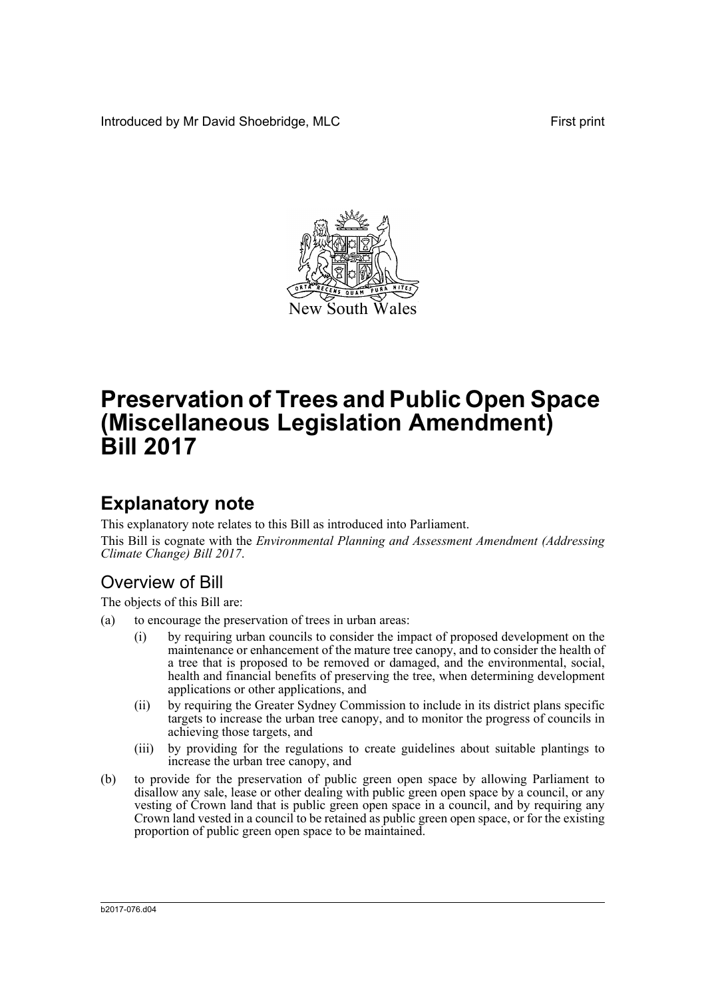Introduced by Mr David Shoebridge, MLC First print



# **Preservation of Trees and Public Open Space (Miscellaneous Legislation Amendment) Bill 2017**

## **Explanatory note**

This explanatory note relates to this Bill as introduced into Parliament. This Bill is cognate with the *Environmental Planning and Assessment Amendment (Addressing Climate Change) Bill 2017*.

### Overview of Bill

The objects of this Bill are:

- (a) to encourage the preservation of trees in urban areas:
	- (i) by requiring urban councils to consider the impact of proposed development on the maintenance or enhancement of the mature tree canopy, and to consider the health of a tree that is proposed to be removed or damaged, and the environmental, social, health and financial benefits of preserving the tree, when determining development applications or other applications, and
	- (ii) by requiring the Greater Sydney Commission to include in its district plans specific targets to increase the urban tree canopy, and to monitor the progress of councils in achieving those targets, and
	- (iii) by providing for the regulations to create guidelines about suitable plantings to increase the urban tree canopy, and
- (b) to provide for the preservation of public green open space by allowing Parliament to disallow any sale, lease or other dealing with public green open space by a council, or any vesting of Crown land that is public green open space in a council, and by requiring any Crown land vested in a council to be retained as public green open space, or for the existing proportion of public green open space to be maintained.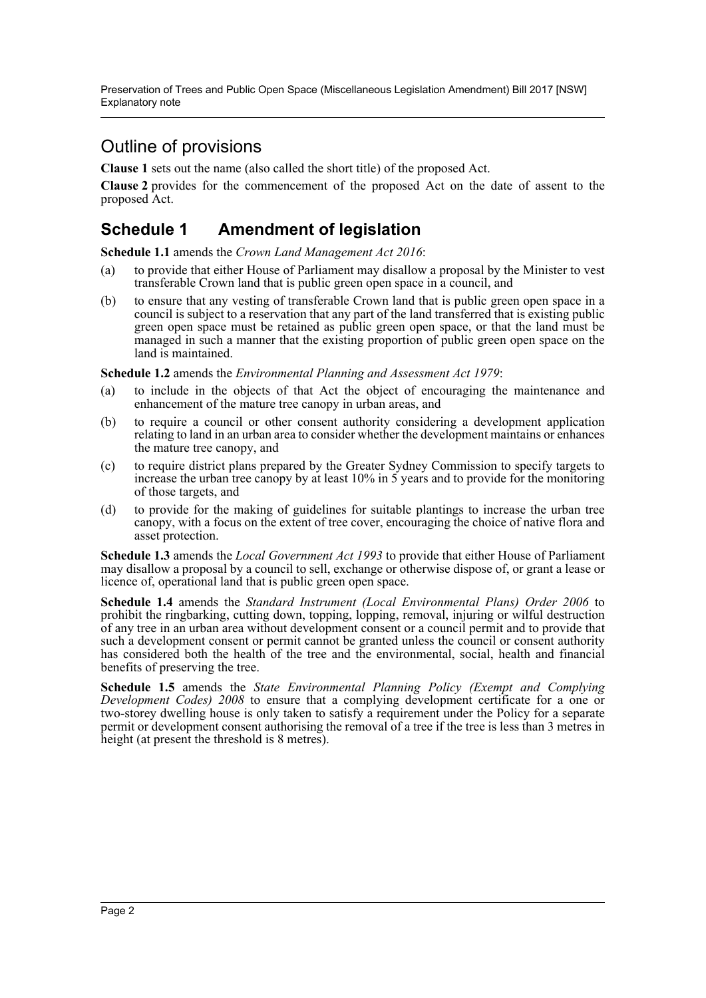Preservation of Trees and Public Open Space (Miscellaneous Legislation Amendment) Bill 2017 [NSW] Explanatory note

### Outline of provisions

**Clause 1** sets out the name (also called the short title) of the proposed Act.

**Clause 2** provides for the commencement of the proposed Act on the date of assent to the proposed Act.

#### **Schedule 1 Amendment of legislation**

**Schedule 1.1** amends the *Crown Land Management Act 2016*:

- (a) to provide that either House of Parliament may disallow a proposal by the Minister to vest transferable Crown land that is public green open space in a council, and
- (b) to ensure that any vesting of transferable Crown land that is public green open space in a council is subject to a reservation that any part of the land transferred that is existing public green open space must be retained as public green open space, or that the land must be managed in such a manner that the existing proportion of public green open space on the land is maintained.

**Schedule 1.2** amends the *Environmental Planning and Assessment Act 1979*:

- (a) to include in the objects of that Act the object of encouraging the maintenance and enhancement of the mature tree canopy in urban areas, and
- (b) to require a council or other consent authority considering a development application relating to land in an urban area to consider whether the development maintains or enhances the mature tree canopy, and
- (c) to require district plans prepared by the Greater Sydney Commission to specify targets to increase the urban tree canopy by at least 10% in 5 years and to provide for the monitoring of those targets, and
- (d) to provide for the making of guidelines for suitable plantings to increase the urban tree canopy, with a focus on the extent of tree cover, encouraging the choice of native flora and asset protection.

**Schedule 1.3** amends the *Local Government Act 1993* to provide that either House of Parliament may disallow a proposal by a council to sell, exchange or otherwise dispose of, or grant a lease or licence of, operational land that is public green open space.

**Schedule 1.4** amends the *Standard Instrument (Local Environmental Plans) Order 2006* to prohibit the ringbarking, cutting down, topping, lopping, removal, injuring or wilful destruction of any tree in an urban area without development consent or a council permit and to provide that such a development consent or permit cannot be granted unless the council or consent authority has considered both the health of the tree and the environmental, social, health and financial benefits of preserving the tree.

**Schedule 1.5** amends the *State Environmental Planning Policy (Exempt and Complying Development Codes) 2008* to ensure that a complying development certificate for a one or two-storey dwelling house is only taken to satisfy a requirement under the Policy for a separate permit or development consent authorising the removal of a tree if the tree is less than 3 metres in height (at present the threshold is 8 metres).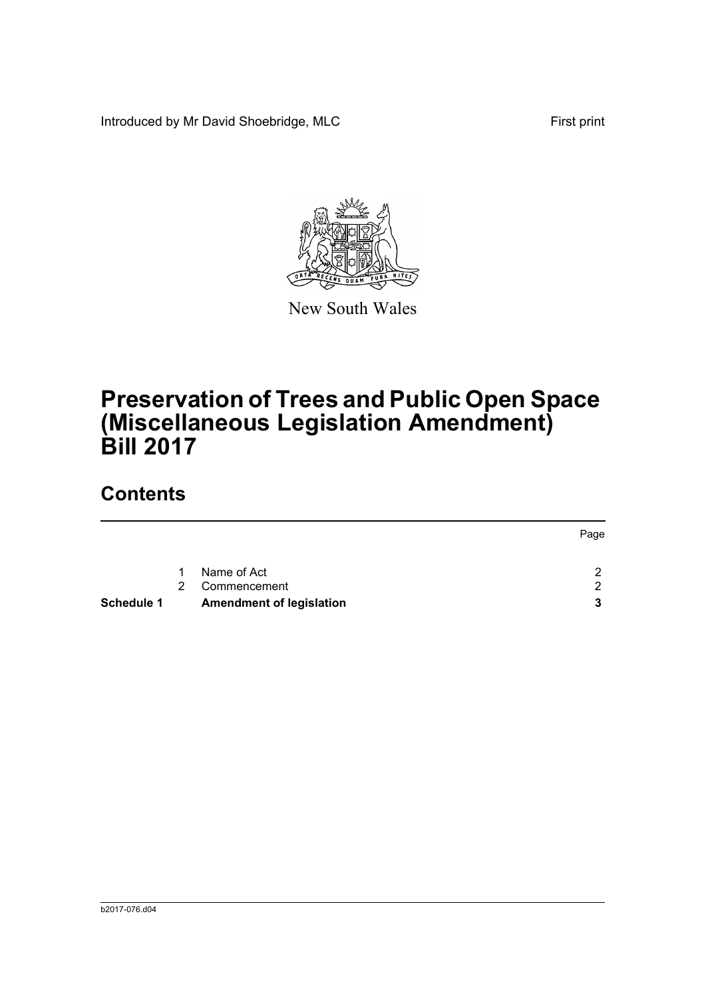Introduced by Mr David Shoebridge, MLC First print



New South Wales

# **Preservation of Trees and Public Open Space (Miscellaneous Legislation Amendment) Bill 2017**

## **Contents**

|                   |               |                                 | Page          |
|-------------------|---------------|---------------------------------|---------------|
|                   | 1             | Name of Act                     | $\mathcal{P}$ |
|                   | $\mathcal{P}$ | Commencement                    | $\mathcal{P}$ |
| <b>Schedule 1</b> |               | <b>Amendment of legislation</b> | 3             |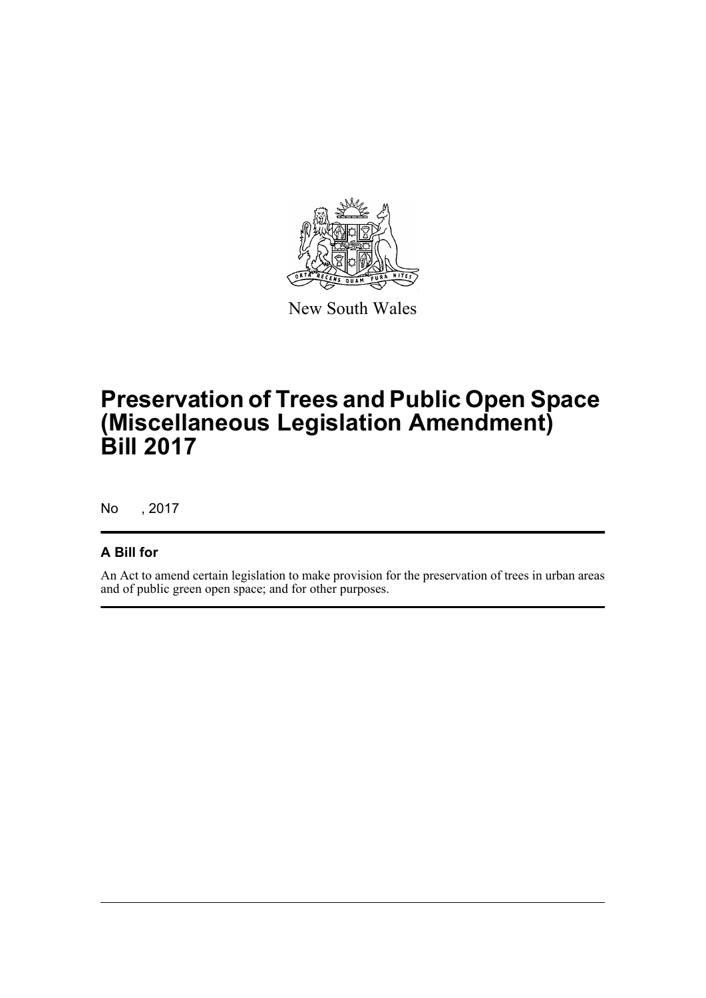

New South Wales

# **Preservation of Trees and Public Open Space (Miscellaneous Legislation Amendment) Bill 2017**

No , 2017

#### **A Bill for**

An Act to amend certain legislation to make provision for the preservation of trees in urban areas and of public green open space; and for other purposes.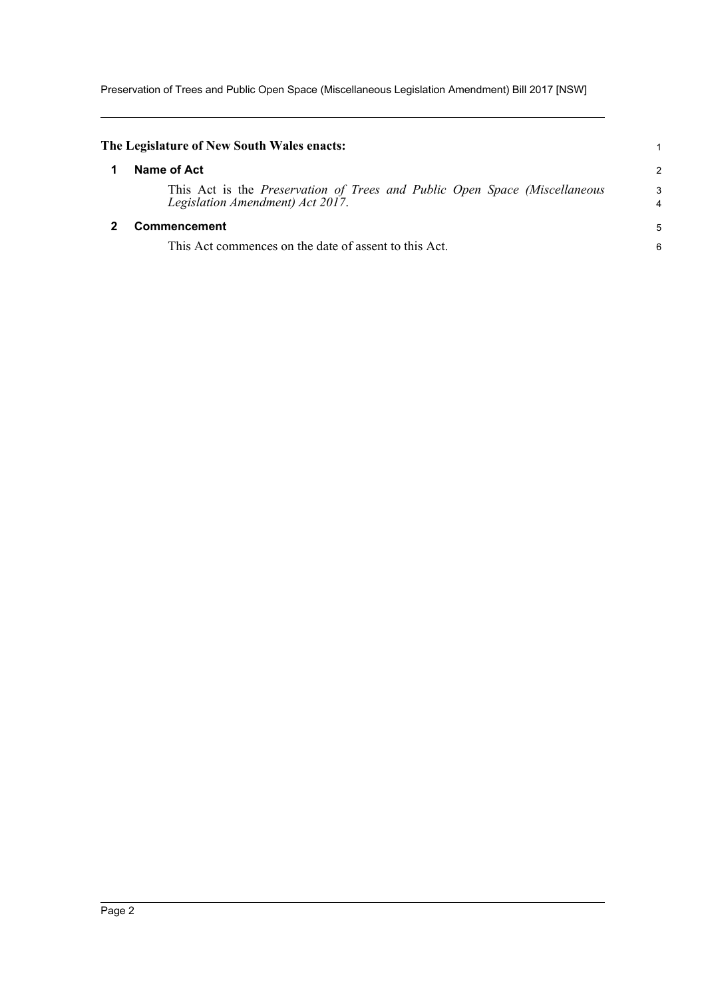Preservation of Trees and Public Open Space (Miscellaneous Legislation Amendment) Bill 2017 [NSW]

<span id="page-4-1"></span><span id="page-4-0"></span>

| The Legislature of New South Wales enacts:                                                                            |                     |
|-----------------------------------------------------------------------------------------------------------------------|---------------------|
| Name of Act                                                                                                           | $\overline{2}$      |
| This Act is the <i>Preservation of Trees and Public Open Space (Miscellaneous</i><br>Legislation Amendment) Act 2017. | 3<br>$\overline{4}$ |
| Commencement                                                                                                          | 5                   |
| This Act commences on the date of assent to this Act.                                                                 | 6                   |
|                                                                                                                       |                     |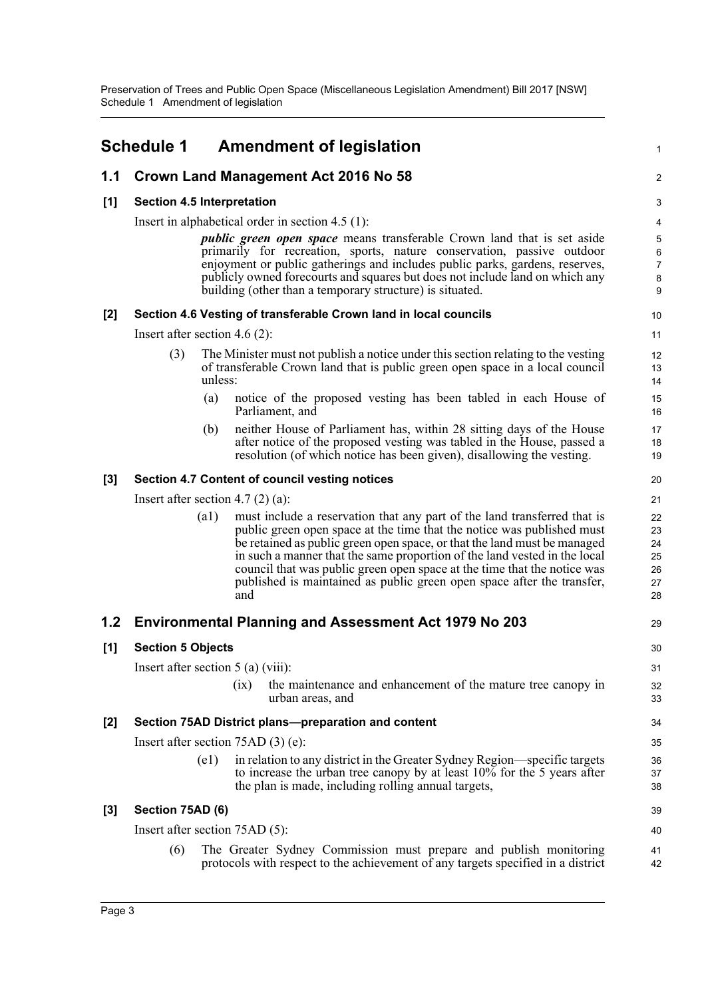<span id="page-5-0"></span>

|       | <b>Schedule 1</b>                                   |                                                                  | <b>Amendment of legislation</b>                                                                                                                                                                                                                                                                                                                                                                                                                                          | 1                                      |  |  |
|-------|-----------------------------------------------------|------------------------------------------------------------------|--------------------------------------------------------------------------------------------------------------------------------------------------------------------------------------------------------------------------------------------------------------------------------------------------------------------------------------------------------------------------------------------------------------------------------------------------------------------------|----------------------------------------|--|--|
| 1.1   |                                                     |                                                                  | Crown Land Management Act 2016 No 58                                                                                                                                                                                                                                                                                                                                                                                                                                     | $\overline{a}$                         |  |  |
| [1]   | <b>Section 4.5 Interpretation</b>                   |                                                                  |                                                                                                                                                                                                                                                                                                                                                                                                                                                                          |                                        |  |  |
|       | Insert in alphabetical order in section $4.5$ (1):  |                                                                  |                                                                                                                                                                                                                                                                                                                                                                                                                                                                          |                                        |  |  |
|       |                                                     |                                                                  | <i>public green open space</i> means transferable Crown land that is set aside<br>primarily for recreation, sports, nature conservation, passive outdoor<br>enjoyment or public gatherings and includes public parks, gardens, reserves,<br>publicly owned forecourts and squares but does not include land on which any<br>building (other than a temporary structure) is situated.                                                                                     | 5<br>6<br>$\overline{7}$<br>8<br>9     |  |  |
| $[2]$ |                                                     | Section 4.6 Vesting of transferable Crown land in local councils |                                                                                                                                                                                                                                                                                                                                                                                                                                                                          |                                        |  |  |
|       |                                                     | Insert after section 4.6 $(2)$ :                                 |                                                                                                                                                                                                                                                                                                                                                                                                                                                                          |                                        |  |  |
|       | (3)                                                 | unless:                                                          | The Minister must not publish a notice under this section relating to the vesting<br>of transferable Crown land that is public green open space in a local council                                                                                                                                                                                                                                                                                                       | 12<br>13<br>14                         |  |  |
|       |                                                     | (a)                                                              | notice of the proposed vesting has been tabled in each House of<br>Parliament, and                                                                                                                                                                                                                                                                                                                                                                                       | 15<br>16                               |  |  |
|       |                                                     | (b)                                                              | neither House of Parliament has, within 28 sitting days of the House<br>after notice of the proposed vesting was tabled in the House, passed a<br>resolution (of which notice has been given), disallowing the vesting.                                                                                                                                                                                                                                                  | 17<br>18<br>19                         |  |  |
| $[3]$ | Section 4.7 Content of council vesting notices      |                                                                  |                                                                                                                                                                                                                                                                                                                                                                                                                                                                          |                                        |  |  |
|       | Insert after section 4.7 $(2)$ (a):                 |                                                                  |                                                                                                                                                                                                                                                                                                                                                                                                                                                                          |                                        |  |  |
|       |                                                     | $\left( a1\right)$                                               | must include a reservation that any part of the land transferred that is<br>public green open space at the time that the notice was published must<br>be retained as public green open space, or that the land must be managed<br>in such a manner that the same proportion of the land vested in the local<br>council that was public green open space at the time that the notice was<br>published is maintained as public green open space after the transfer,<br>and | 22<br>23<br>24<br>25<br>26<br>27<br>28 |  |  |
| 1.2   |                                                     |                                                                  | <b>Environmental Planning and Assessment Act 1979 No 203</b>                                                                                                                                                                                                                                                                                                                                                                                                             | 29                                     |  |  |
| [1]   | <b>Section 5 Objects</b>                            |                                                                  |                                                                                                                                                                                                                                                                                                                                                                                                                                                                          |                                        |  |  |
|       | Insert after section $5(a)$ (viii):                 |                                                                  |                                                                                                                                                                                                                                                                                                                                                                                                                                                                          |                                        |  |  |
|       |                                                     |                                                                  | the maintenance and enhancement of the mature tree canopy in<br>(ix)<br>urban areas, and                                                                                                                                                                                                                                                                                                                                                                                 | 32<br>33                               |  |  |
| $[2]$ | Section 75AD District plans-preparation and content |                                                                  |                                                                                                                                                                                                                                                                                                                                                                                                                                                                          |                                        |  |  |
|       | Insert after section $75AD(3)$ (e):                 |                                                                  |                                                                                                                                                                                                                                                                                                                                                                                                                                                                          |                                        |  |  |
|       |                                                     | $\left( e1\right)$                                               | in relation to any district in the Greater Sydney Region—specific targets<br>to increase the urban tree canopy by at least 10% for the 5 years after<br>the plan is made, including rolling annual targets,                                                                                                                                                                                                                                                              | 36<br>37<br>38                         |  |  |
| $[3]$ | Section 75AD (6)                                    |                                                                  |                                                                                                                                                                                                                                                                                                                                                                                                                                                                          | 39                                     |  |  |
|       | Insert after section 75AD (5):                      |                                                                  |                                                                                                                                                                                                                                                                                                                                                                                                                                                                          |                                        |  |  |
|       | (6)                                                 |                                                                  | The Greater Sydney Commission must prepare and publish monitoring<br>protocols with respect to the achievement of any targets specified in a district                                                                                                                                                                                                                                                                                                                    | 41<br>42                               |  |  |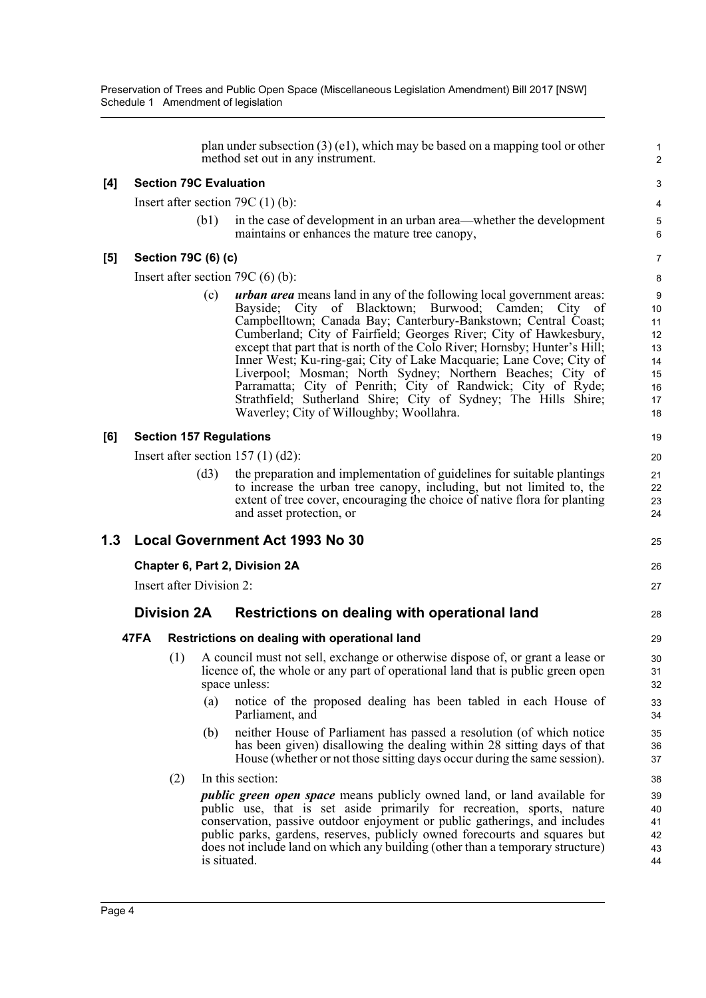Preservation of Trees and Public Open Space (Miscellaneous Legislation Amendment) Bill 2017 [NSW] Schedule 1 Amendment of legislation

|       |                          |                     |      | plan under subsection $(3)$ (e1), which may be based on a mapping tool or other<br>method set out in any instrument.                                                                                                                                                                                                                                                                                                                                                                                                                                                                                                                                                         | $\mathbf{1}$<br>$\overline{2}$                          |
|-------|--------------------------|---------------------|------|------------------------------------------------------------------------------------------------------------------------------------------------------------------------------------------------------------------------------------------------------------------------------------------------------------------------------------------------------------------------------------------------------------------------------------------------------------------------------------------------------------------------------------------------------------------------------------------------------------------------------------------------------------------------------|---------------------------------------------------------|
| [4]   |                          |                     |      | <b>Section 79C Evaluation</b>                                                                                                                                                                                                                                                                                                                                                                                                                                                                                                                                                                                                                                                | 3                                                       |
|       |                          |                     |      | Insert after section 79C $(1)$ (b):                                                                                                                                                                                                                                                                                                                                                                                                                                                                                                                                                                                                                                          | 4                                                       |
|       |                          |                     | (b1) | in the case of development in an urban area—whether the development<br>maintains or enhances the mature tree canopy,                                                                                                                                                                                                                                                                                                                                                                                                                                                                                                                                                         | $\,$ 5 $\,$<br>6                                        |
| $[5]$ |                          | Section 79C (6) (c) |      |                                                                                                                                                                                                                                                                                                                                                                                                                                                                                                                                                                                                                                                                              | $\overline{7}$                                          |
|       |                          |                     |      | Insert after section 79C $(6)$ (b):                                                                                                                                                                                                                                                                                                                                                                                                                                                                                                                                                                                                                                          | 8                                                       |
|       |                          |                     | (c)  | <b>urban area</b> means land in any of the following local government areas:<br>Bayside; City of Blacktown; Burwood; Camden; City of<br>Campbelltown; Canada Bay; Canterbury-Bankstown; Central Coast;<br>Cumberland; City of Fairfield; Georges River; City of Hawkesbury,<br>except that part that is north of the Colo River; Hornsby; Hunter's Hill;<br>Inner West; Ku-ring-gai; City of Lake Macquarie; Lane Cove; City of<br>Liverpool; Mosman; North Sydney; Northern Beaches; City of<br>Parramatta; City of Penrith; City of Randwick; City of Ryde;<br>Strathfield; Sutherland Shire; City of Sydney; The Hills Shire;<br>Waverley; City of Willoughby; Woollahra. | 9<br>10<br>11<br>12<br>13<br>14<br>15<br>16<br>17<br>18 |
| [6]   |                          |                     |      | <b>Section 157 Regulations</b>                                                                                                                                                                                                                                                                                                                                                                                                                                                                                                                                                                                                                                               | 19                                                      |
|       |                          |                     |      | Insert after section $157(1)(d2)$ :                                                                                                                                                                                                                                                                                                                                                                                                                                                                                                                                                                                                                                          | 20                                                      |
|       |                          |                     | (d3) | the preparation and implementation of guidelines for suitable plantings<br>to increase the urban tree canopy, including, but not limited to, the<br>extent of tree cover, encouraging the choice of native flora for planting<br>and asset protection, or                                                                                                                                                                                                                                                                                                                                                                                                                    | 21<br>22<br>23<br>24                                    |
| 1.3   |                          |                     |      | <b>Local Government Act 1993 No 30</b>                                                                                                                                                                                                                                                                                                                                                                                                                                                                                                                                                                                                                                       | 25                                                      |
|       |                          |                     |      | Chapter 6, Part 2, Division 2A                                                                                                                                                                                                                                                                                                                                                                                                                                                                                                                                                                                                                                               | 26                                                      |
|       | Insert after Division 2: |                     |      |                                                                                                                                                                                                                                                                                                                                                                                                                                                                                                                                                                                                                                                                              |                                                         |
|       | <b>Division 2A</b>       |                     |      | Restrictions on dealing with operational land                                                                                                                                                                                                                                                                                                                                                                                                                                                                                                                                                                                                                                | 28                                                      |
|       | 47FA                     |                     |      | Restrictions on dealing with operational land                                                                                                                                                                                                                                                                                                                                                                                                                                                                                                                                                                                                                                | 29                                                      |
|       |                          | (1)                 | (a)  | A council must not sell, exchange or otherwise dispose of, or grant a lease or<br>licence of, the whole or any part of operational land that is public green open<br>space unless:<br>notice of the proposed dealing has been tabled in each House of                                                                                                                                                                                                                                                                                                                                                                                                                        | 30<br>31<br>32<br>33                                    |
|       |                          |                     |      | Parliament, and                                                                                                                                                                                                                                                                                                                                                                                                                                                                                                                                                                                                                                                              | 34                                                      |
|       |                          |                     | (b)  | neither House of Parliament has passed a resolution (of which notice<br>has been given) disallowing the dealing within 28 sitting days of that<br>House (whether or not those sitting days occur during the same session).                                                                                                                                                                                                                                                                                                                                                                                                                                                   | 35<br>36<br>37                                          |
|       |                          | (2)                 |      | In this section:                                                                                                                                                                                                                                                                                                                                                                                                                                                                                                                                                                                                                                                             | 38                                                      |
|       |                          |                     |      | <i>public green open space</i> means publicly owned land, or land available for<br>public use, that is set aside primarily for recreation, sports, nature<br>conservation, passive outdoor enjoyment or public gatherings, and includes<br>public parks, gardens, reserves, publicly owned forecourts and squares but<br>does not include land on which any building (other than a temporary structure)<br>is situated.                                                                                                                                                                                                                                                      | 39<br>40<br>41<br>42<br>43<br>44                        |